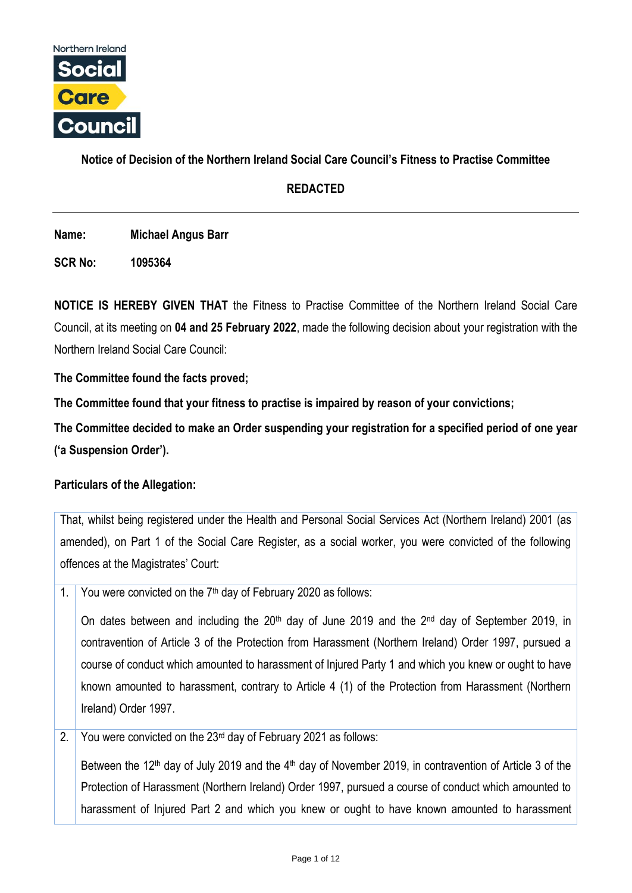

# **Notice of Decision of the Northern Ireland Social Care Council's Fitness to Practise Committee**

# **REDACTED**

**Name: Michael Angus Barr**

**SCR No: 1095364**

**NOTICE IS HEREBY GIVEN THAT** the Fitness to Practise Committee of the Northern Ireland Social Care Council, at its meeting on **04 and 25 February 2022**, made the following decision about your registration with the Northern Ireland Social Care Council:

**The Committee found the facts proved;**

**The Committee found that your fitness to practise is impaired by reason of your convictions;**

**The Committee decided to make an Order suspending your registration for a specified period of one year ('a Suspension Order').**

# **Particulars of the Allegation:**

That, whilst being registered under the Health and Personal Social Services Act (Northern Ireland) 2001 (as amended), on Part 1 of the Social Care Register, as a social worker, you were convicted of the following offences at the Magistrates' Court:

1. You were convicted on the  $7<sup>th</sup>$  day of February 2020 as follows:

On dates between and including the 20<sup>th</sup> day of June 2019 and the 2<sup>nd</sup> day of September 2019, in contravention of Article 3 of the Protection from Harassment (Northern Ireland) Order 1997, pursued a course of conduct which amounted to harassment of Injured Party 1 and which you knew or ought to have known amounted to harassment, contrary to Article 4 (1) of the Protection from Harassment (Northern Ireland) Order 1997.

2. You were convicted on the  $23<sup>rd</sup>$  day of February 2021 as follows:

Between the 12<sup>th</sup> day of July 2019 and the 4<sup>th</sup> day of November 2019, in contravention of Article 3 of the Protection of Harassment (Northern Ireland) Order 1997, pursued a course of conduct which amounted to harassment of Injured Part 2 and which you knew or ought to have known amounted to harassment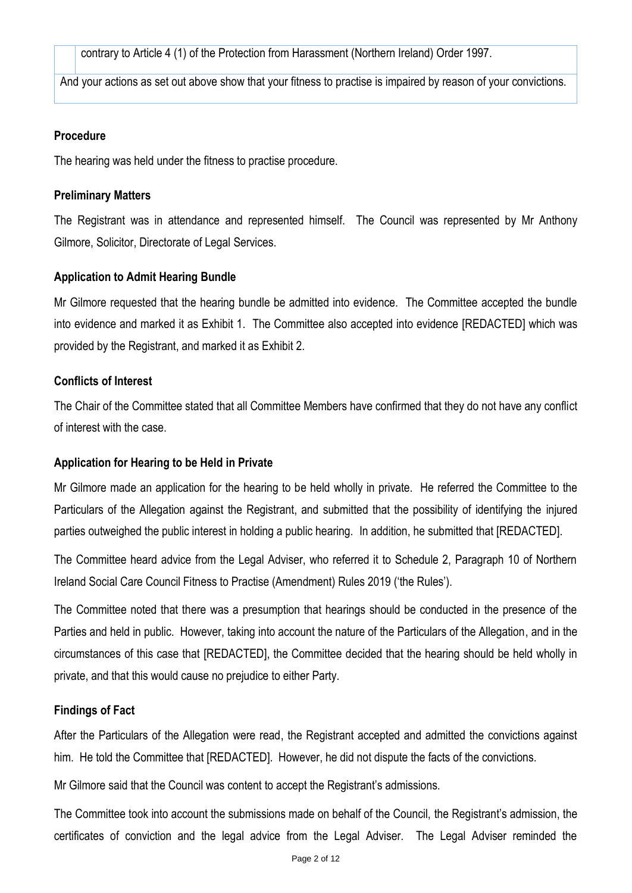contrary to Article 4 (1) of the Protection from Harassment (Northern Ireland) Order 1997.

And your actions as set out above show that your fitness to practise is impaired by reason of your convictions.

#### **Procedure**

The hearing was held under the fitness to practise procedure.

#### **Preliminary Matters**

The Registrant was in attendance and represented himself. The Council was represented by Mr Anthony Gilmore, Solicitor, Directorate of Legal Services.

### **Application to Admit Hearing Bundle**

Mr Gilmore requested that the hearing bundle be admitted into evidence. The Committee accepted the bundle into evidence and marked it as Exhibit 1. The Committee also accepted into evidence [REDACTED] which was provided by the Registrant, and marked it as Exhibit 2.

#### **Conflicts of Interest**

The Chair of the Committee stated that all Committee Members have confirmed that they do not have any conflict of interest with the case.

### **Application for Hearing to be Held in Private**

Mr Gilmore made an application for the hearing to be held wholly in private. He referred the Committee to the Particulars of the Allegation against the Registrant, and submitted that the possibility of identifying the injured parties outweighed the public interest in holding a public hearing. In addition, he submitted that [REDACTED].

The Committee heard advice from the Legal Adviser, who referred it to Schedule 2, Paragraph 10 of Northern Ireland Social Care Council Fitness to Practise (Amendment) Rules 2019 ('the Rules').

The Committee noted that there was a presumption that hearings should be conducted in the presence of the Parties and held in public. However, taking into account the nature of the Particulars of the Allegation, and in the circumstances of this case that [REDACTED], the Committee decided that the hearing should be held wholly in private, and that this would cause no prejudice to either Party.

### **Findings of Fact**

After the Particulars of the Allegation were read, the Registrant accepted and admitted the convictions against him. He told the Committee that [REDACTED]. However, he did not dispute the facts of the convictions.

Mr Gilmore said that the Council was content to accept the Registrant's admissions.

The Committee took into account the submissions made on behalf of the Council, the Registrant's admission, the certificates of conviction and the legal advice from the Legal Adviser. The Legal Adviser reminded the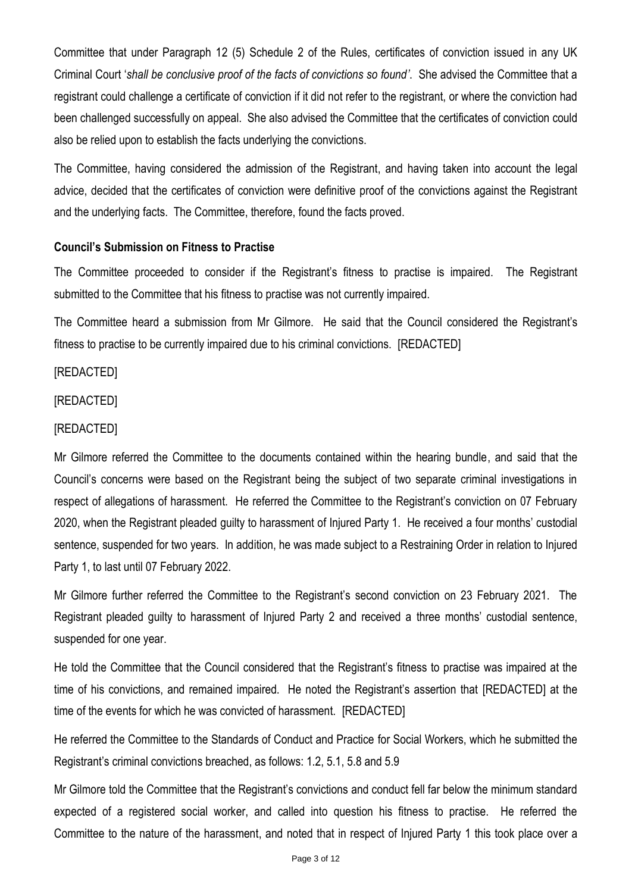Committee that under Paragraph 12 (5) Schedule 2 of the Rules, certificates of conviction issued in any UK Criminal Court '*shall be conclusive proof of the facts of convictions so found'*. She advised the Committee that a registrant could challenge a certificate of conviction if it did not refer to the registrant, or where the conviction had been challenged successfully on appeal. She also advised the Committee that the certificates of conviction could also be relied upon to establish the facts underlying the convictions.

The Committee, having considered the admission of the Registrant, and having taken into account the legal advice, decided that the certificates of conviction were definitive proof of the convictions against the Registrant and the underlying facts. The Committee, therefore, found the facts proved.

# **Council's Submission on Fitness to Practise**

The Committee proceeded to consider if the Registrant's fitness to practise is impaired. The Registrant submitted to the Committee that his fitness to practise was not currently impaired.

The Committee heard a submission from Mr Gilmore. He said that the Council considered the Registrant's fitness to practise to be currently impaired due to his criminal convictions. [REDACTED]

[REDACTED]

[REDACTED]

# [REDACTED]

Mr Gilmore referred the Committee to the documents contained within the hearing bundle, and said that the Council's concerns were based on the Registrant being the subject of two separate criminal investigations in respect of allegations of harassment. He referred the Committee to the Registrant's conviction on 07 February 2020, when the Registrant pleaded guilty to harassment of Injured Party 1. He received a four months' custodial sentence, suspended for two years. In addition, he was made subject to a Restraining Order in relation to Injured Party 1, to last until 07 February 2022.

Mr Gilmore further referred the Committee to the Registrant's second conviction on 23 February 2021. The Registrant pleaded guilty to harassment of Injured Party 2 and received a three months' custodial sentence, suspended for one year.

He told the Committee that the Council considered that the Registrant's fitness to practise was impaired at the time of his convictions, and remained impaired. He noted the Registrant's assertion that [REDACTED] at the time of the events for which he was convicted of harassment. [REDACTED]

He referred the Committee to the Standards of Conduct and Practice for Social Workers, which he submitted the Registrant's criminal convictions breached, as follows: 1.2, 5.1, 5.8 and 5.9

Mr Gilmore told the Committee that the Registrant's convictions and conduct fell far below the minimum standard expected of a registered social worker, and called into question his fitness to practise. He referred the Committee to the nature of the harassment, and noted that in respect of Injured Party 1 this took place over a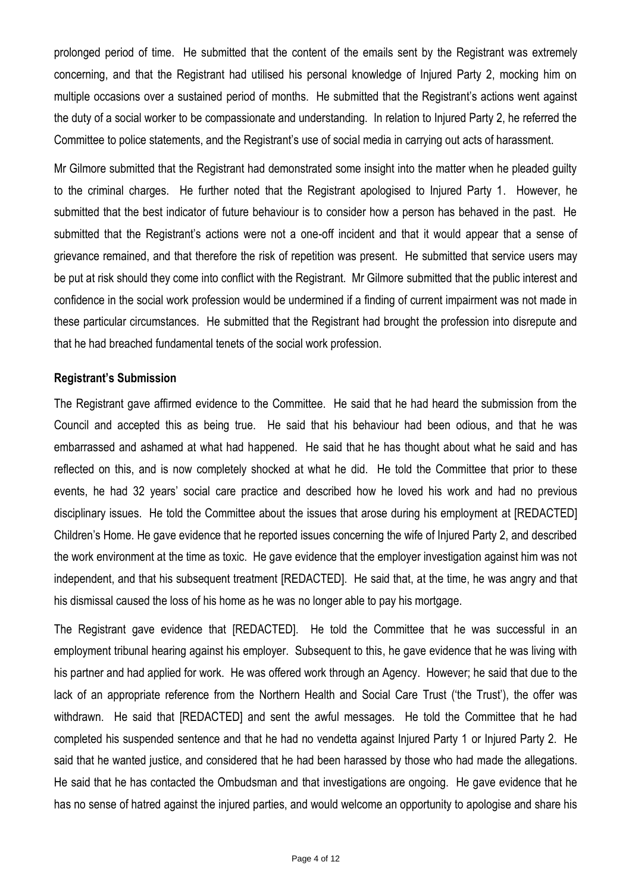prolonged period of time. He submitted that the content of the emails sent by the Registrant was extremely concerning, and that the Registrant had utilised his personal knowledge of Injured Party 2, mocking him on multiple occasions over a sustained period of months. He submitted that the Registrant's actions went against the duty of a social worker to be compassionate and understanding. In relation to Injured Party 2, he referred the Committee to police statements, and the Registrant's use of social media in carrying out acts of harassment.

Mr Gilmore submitted that the Registrant had demonstrated some insight into the matter when he pleaded guilty to the criminal charges. He further noted that the Registrant apologised to Injured Party 1. However, he submitted that the best indicator of future behaviour is to consider how a person has behaved in the past. He submitted that the Registrant's actions were not a one-off incident and that it would appear that a sense of grievance remained, and that therefore the risk of repetition was present. He submitted that service users may be put at risk should they come into conflict with the Registrant. Mr Gilmore submitted that the public interest and confidence in the social work profession would be undermined if a finding of current impairment was not made in these particular circumstances. He submitted that the Registrant had brought the profession into disrepute and that he had breached fundamental tenets of the social work profession.

### **Registrant's Submission**

The Registrant gave affirmed evidence to the Committee. He said that he had heard the submission from the Council and accepted this as being true. He said that his behaviour had been odious, and that he was embarrassed and ashamed at what had happened. He said that he has thought about what he said and has reflected on this, and is now completely shocked at what he did. He told the Committee that prior to these events, he had 32 years' social care practice and described how he loved his work and had no previous disciplinary issues. He told the Committee about the issues that arose during his employment at [REDACTED] Children's Home. He gave evidence that he reported issues concerning the wife of Injured Party 2, and described the work environment at the time as toxic. He gave evidence that the employer investigation against him was not independent, and that his subsequent treatment [REDACTED]. He said that, at the time, he was angry and that his dismissal caused the loss of his home as he was no longer able to pay his mortgage.

The Registrant gave evidence that [REDACTED]. He told the Committee that he was successful in an employment tribunal hearing against his employer. Subsequent to this, he gave evidence that he was living with his partner and had applied for work. He was offered work through an Agency. However; he said that due to the lack of an appropriate reference from the Northern Health and Social Care Trust ('the Trust'), the offer was withdrawn. He said that [REDACTED] and sent the awful messages. He told the Committee that he had completed his suspended sentence and that he had no vendetta against Injured Party 1 or Injured Party 2. He said that he wanted justice, and considered that he had been harassed by those who had made the allegations. He said that he has contacted the Ombudsman and that investigations are ongoing. He gave evidence that he has no sense of hatred against the injured parties, and would welcome an opportunity to apologise and share his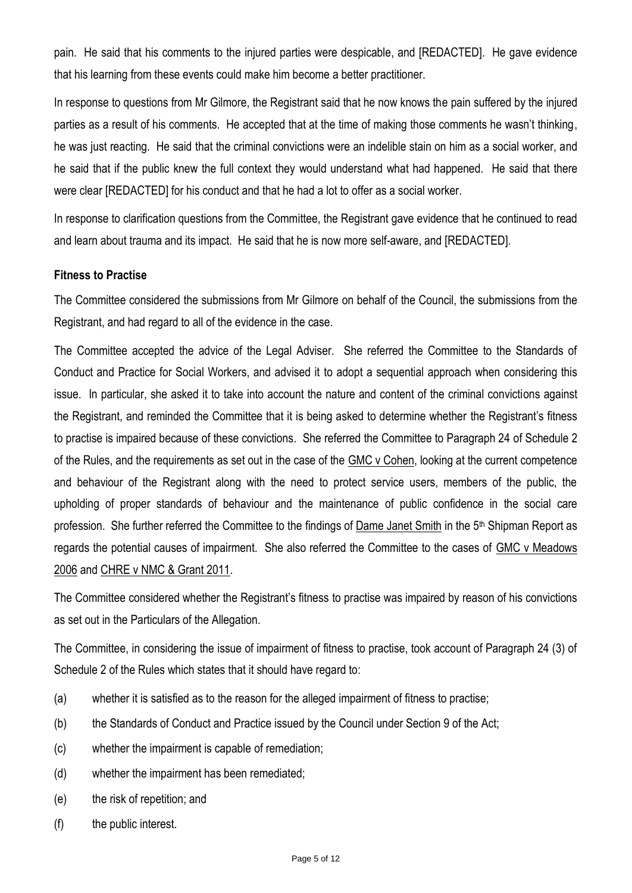pain. He said that his comments to the injured parties were despicable, and [REDACTED]. He gave evidence that his learning from these events could make him become a better practitioner.

In response to questions from Mr Gilmore, the Registrant said that he now knows the pain suffered by the injured parties as a result of his comments. He accepted that at the time of making those comments he wasn't thinking, he was just reacting. He said that the criminal convictions were an indelible stain on him as a social worker, and he said that if the public knew the full context they would understand what had happened. He said that there were clear [REDACTED] for his conduct and that he had a lot to offer as a social worker.

In response to clarification questions from the Committee, the Registrant gave evidence that he continued to read and learn about trauma and its impact. He said that he is now more self-aware, and [REDACTED].

# **Fitness to Practise**

The Committee considered the submissions from Mr Gilmore on behalf of the Council, the submissions from the Registrant, and had regard to all of the evidence in the case.

The Committee accepted the advice of the Legal Adviser. She referred the Committee to the Standards of Conduct and Practice for Social Workers, and advised it to adopt a sequential approach when considering this issue. In particular, she asked it to take into account the nature and content of the criminal convictions against the Registrant, and reminded the Committee that it is being asked to determine whether the Registrant's fitness to practise is impaired because of these convictions. She referred the Committee to Paragraph 24 of Schedule 2 of the Rules, and the requirements as set out in the case of the GMC v Cohen, looking at the current competence and behaviour of the Registrant along with the need to protect service users, members of the public, the upholding of proper standards of behaviour and the maintenance of public confidence in the social care profession. She further referred the Committee to the findings of Dame Janet Smith in the 5<sup>th</sup> Shipman Report as regards the potential causes of impairment. She also referred the Committee to the cases of GMC v Meadows 2006 and CHRE v NMC & Grant 2011.

The Committee considered whether the Registrant's fitness to practise was impaired by reason of his convictions as set out in the Particulars of the Allegation.

The Committee, in considering the issue of impairment of fitness to practise, took account of Paragraph 24 (3) of Schedule 2 of the Rules which states that it should have regard to:

- (a) whether it is satisfied as to the reason for the alleged impairment of fitness to practise;
- (b) the Standards of Conduct and Practice issued by the Council under Section 9 of the Act;
- (c) whether the impairment is capable of remediation;
- (d) whether the impairment has been remediated;
- (e) the risk of repetition; and
- (f) the public interest.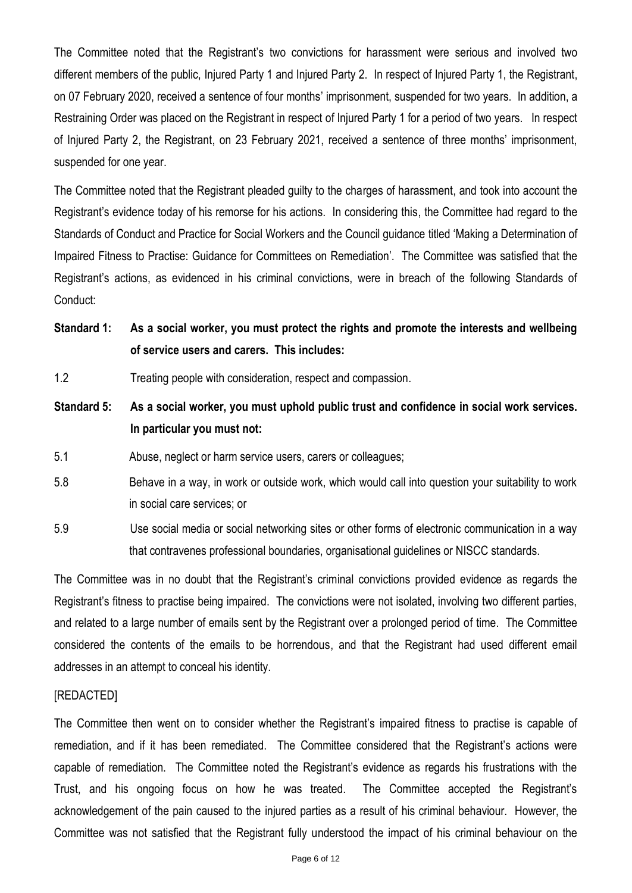The Committee noted that the Registrant's two convictions for harassment were serious and involved two different members of the public, Injured Party 1 and Injured Party 2. In respect of Injured Party 1, the Registrant, on 07 February 2020, received a sentence of four months' imprisonment, suspended for two years. In addition, a Restraining Order was placed on the Registrant in respect of Injured Party 1 for a period of two years. In respect of Injured Party 2, the Registrant, on 23 February 2021, received a sentence of three months' imprisonment, suspended for one year.

The Committee noted that the Registrant pleaded guilty to the charges of harassment, and took into account the Registrant's evidence today of his remorse for his actions. In considering this, the Committee had regard to the Standards of Conduct and Practice for Social Workers and the Council guidance titled 'Making a Determination of Impaired Fitness to Practise: Guidance for Committees on Remediation'. The Committee was satisfied that the Registrant's actions, as evidenced in his criminal convictions, were in breach of the following Standards of Conduct:

- **Standard 1: As a social worker, you must protect the rights and promote the interests and wellbeing of service users and carers. This includes:**
- 1.2 Treating people with consideration, respect and compassion.
- **Standard 5: As a social worker, you must uphold public trust and confidence in social work services. In particular you must not:**
- 5.1 Abuse, neglect or harm service users, carers or colleagues;
- 5.8 Behave in a way, in work or outside work, which would call into question your suitability to work in social care services; or
- 5.9 Use social media or social networking sites or other forms of electronic communication in a way that contravenes professional boundaries, organisational guidelines or NISCC standards.

The Committee was in no doubt that the Registrant's criminal convictions provided evidence as regards the Registrant's fitness to practise being impaired. The convictions were not isolated, involving two different parties, and related to a large number of emails sent by the Registrant over a prolonged period of time. The Committee considered the contents of the emails to be horrendous, and that the Registrant had used different email addresses in an attempt to conceal his identity.

### [REDACTED]

The Committee then went on to consider whether the Registrant's impaired fitness to practise is capable of remediation, and if it has been remediated. The Committee considered that the Registrant's actions were capable of remediation. The Committee noted the Registrant's evidence as regards his frustrations with the Trust, and his ongoing focus on how he was treated. The Committee accepted the Registrant's acknowledgement of the pain caused to the injured parties as a result of his criminal behaviour. However, the Committee was not satisfied that the Registrant fully understood the impact of his criminal behaviour on the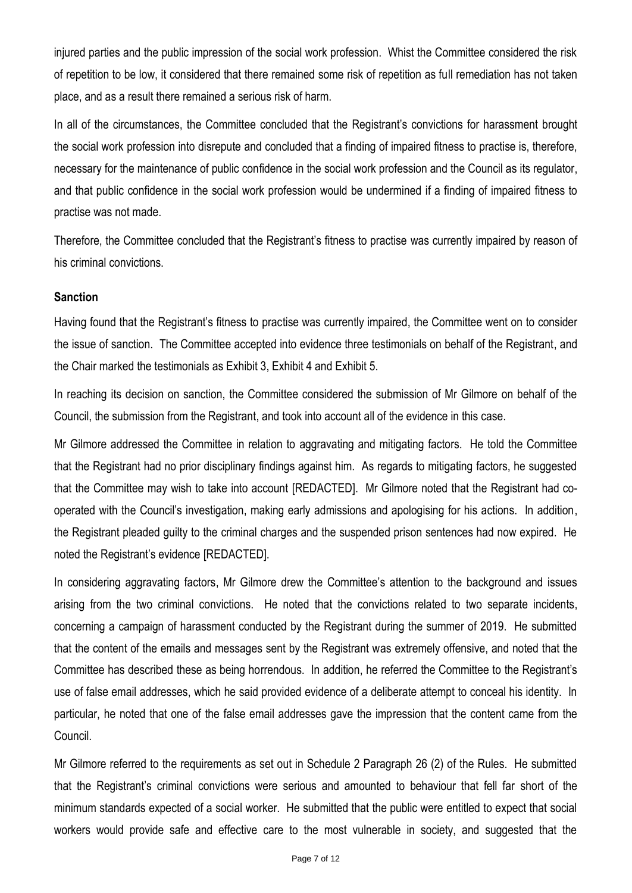injured parties and the public impression of the social work profession. Whist the Committee considered the risk of repetition to be low, it considered that there remained some risk of repetition as full remediation has not taken place, and as a result there remained a serious risk of harm.

In all of the circumstances, the Committee concluded that the Registrant's convictions for harassment brought the social work profession into disrepute and concluded that a finding of impaired fitness to practise is, therefore, necessary for the maintenance of public confidence in the social work profession and the Council as its regulator, and that public confidence in the social work profession would be undermined if a finding of impaired fitness to practise was not made.

Therefore, the Committee concluded that the Registrant's fitness to practise was currently impaired by reason of his criminal convictions.

# **Sanction**

Having found that the Registrant's fitness to practise was currently impaired, the Committee went on to consider the issue of sanction. The Committee accepted into evidence three testimonials on behalf of the Registrant, and the Chair marked the testimonials as Exhibit 3, Exhibit 4 and Exhibit 5.

In reaching its decision on sanction, the Committee considered the submission of Mr Gilmore on behalf of the Council, the submission from the Registrant, and took into account all of the evidence in this case.

Mr Gilmore addressed the Committee in relation to aggravating and mitigating factors. He told the Committee that the Registrant had no prior disciplinary findings against him. As regards to mitigating factors, he suggested that the Committee may wish to take into account [REDACTED]. Mr Gilmore noted that the Registrant had cooperated with the Council's investigation, making early admissions and apologising for his actions. In addition, the Registrant pleaded guilty to the criminal charges and the suspended prison sentences had now expired. He noted the Registrant's evidence [REDACTED].

In considering aggravating factors, Mr Gilmore drew the Committee's attention to the background and issues arising from the two criminal convictions. He noted that the convictions related to two separate incidents, concerning a campaign of harassment conducted by the Registrant during the summer of 2019. He submitted that the content of the emails and messages sent by the Registrant was extremely offensive, and noted that the Committee has described these as being horrendous. In addition, he referred the Committee to the Registrant's use of false email addresses, which he said provided evidence of a deliberate attempt to conceal his identity. In particular, he noted that one of the false email addresses gave the impression that the content came from the Council.

Mr Gilmore referred to the requirements as set out in Schedule 2 Paragraph 26 (2) of the Rules. He submitted that the Registrant's criminal convictions were serious and amounted to behaviour that fell far short of the minimum standards expected of a social worker. He submitted that the public were entitled to expect that social workers would provide safe and effective care to the most vulnerable in society, and suggested that the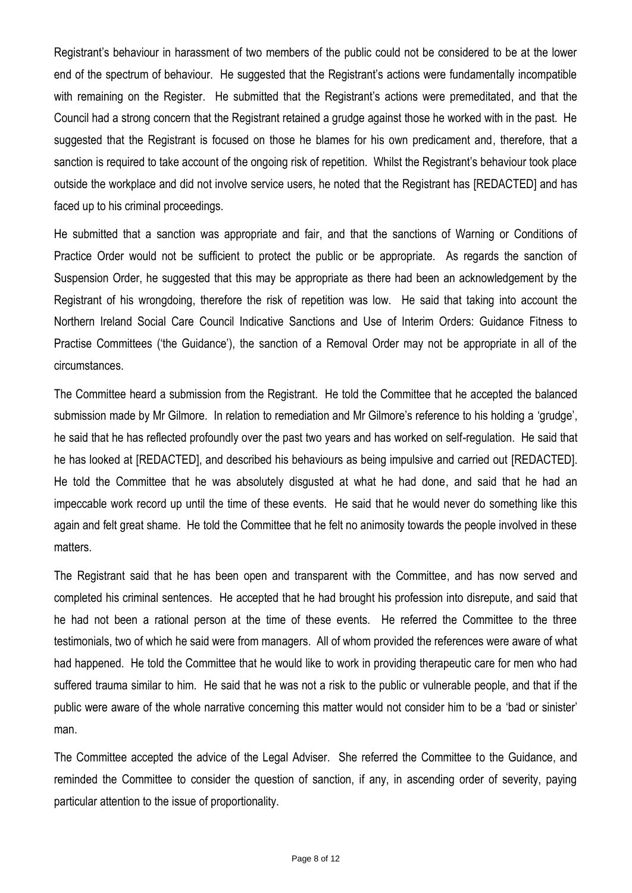Registrant's behaviour in harassment of two members of the public could not be considered to be at the lower end of the spectrum of behaviour. He suggested that the Registrant's actions were fundamentally incompatible with remaining on the Register. He submitted that the Registrant's actions were premeditated, and that the Council had a strong concern that the Registrant retained a grudge against those he worked with in the past. He suggested that the Registrant is focused on those he blames for his own predicament and, therefore, that a sanction is required to take account of the ongoing risk of repetition. Whilst the Registrant's behaviour took place outside the workplace and did not involve service users, he noted that the Registrant has [REDACTED] and has faced up to his criminal proceedings.

He submitted that a sanction was appropriate and fair, and that the sanctions of Warning or Conditions of Practice Order would not be sufficient to protect the public or be appropriate. As regards the sanction of Suspension Order, he suggested that this may be appropriate as there had been an acknowledgement by the Registrant of his wrongdoing, therefore the risk of repetition was low. He said that taking into account the Northern Ireland Social Care Council Indicative Sanctions and Use of Interim Orders: Guidance Fitness to Practise Committees ('the Guidance'), the sanction of a Removal Order may not be appropriate in all of the circumstances.

The Committee heard a submission from the Registrant. He told the Committee that he accepted the balanced submission made by Mr Gilmore. In relation to remediation and Mr Gilmore's reference to his holding a 'grudge', he said that he has reflected profoundly over the past two years and has worked on self-regulation. He said that he has looked at [REDACTED], and described his behaviours as being impulsive and carried out [REDACTED]. He told the Committee that he was absolutely disgusted at what he had done, and said that he had an impeccable work record up until the time of these events. He said that he would never do something like this again and felt great shame. He told the Committee that he felt no animosity towards the people involved in these matters.

The Registrant said that he has been open and transparent with the Committee, and has now served and completed his criminal sentences. He accepted that he had brought his profession into disrepute, and said that he had not been a rational person at the time of these events. He referred the Committee to the three testimonials, two of which he said were from managers. All of whom provided the references were aware of what had happened. He told the Committee that he would like to work in providing therapeutic care for men who had suffered trauma similar to him. He said that he was not a risk to the public or vulnerable people, and that if the public were aware of the whole narrative concerning this matter would not consider him to be a 'bad or sinister' man.

The Committee accepted the advice of the Legal Adviser. She referred the Committee to the Guidance, and reminded the Committee to consider the question of sanction, if any, in ascending order of severity, paying particular attention to the issue of proportionality.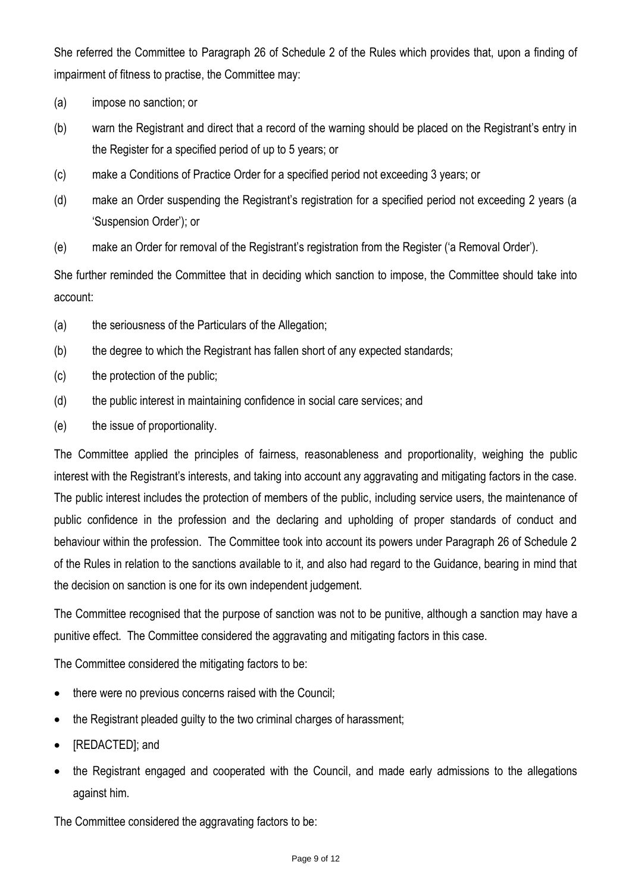She referred the Committee to Paragraph 26 of Schedule 2 of the Rules which provides that, upon a finding of impairment of fitness to practise, the Committee may:

- (a) impose no sanction; or
- (b) warn the Registrant and direct that a record of the warning should be placed on the Registrant's entry in the Register for a specified period of up to 5 years; or
- (c) make a Conditions of Practice Order for a specified period not exceeding 3 years; or
- (d) make an Order suspending the Registrant's registration for a specified period not exceeding 2 years (a 'Suspension Order'); or
- (e) make an Order for removal of the Registrant's registration from the Register ('a Removal Order').

She further reminded the Committee that in deciding which sanction to impose, the Committee should take into account:

- (a) the seriousness of the Particulars of the Allegation;
- (b) the degree to which the Registrant has fallen short of any expected standards;
- (c) the protection of the public;
- (d) the public interest in maintaining confidence in social care services; and
- (e) the issue of proportionality.

The Committee applied the principles of fairness, reasonableness and proportionality, weighing the public interest with the Registrant's interests, and taking into account any aggravating and mitigating factors in the case. The public interest includes the protection of members of the public, including service users, the maintenance of public confidence in the profession and the declaring and upholding of proper standards of conduct and behaviour within the profession. The Committee took into account its powers under Paragraph 26 of Schedule 2 of the Rules in relation to the sanctions available to it, and also had regard to the Guidance, bearing in mind that the decision on sanction is one for its own independent judgement.

The Committee recognised that the purpose of sanction was not to be punitive, although a sanction may have a punitive effect. The Committee considered the aggravating and mitigating factors in this case.

The Committee considered the mitigating factors to be:

- there were no previous concerns raised with the Council;
- the Registrant pleaded guilty to the two criminal charges of harassment;
- [REDACTED]; and
- the Registrant engaged and cooperated with the Council, and made early admissions to the allegations against him.

The Committee considered the aggravating factors to be: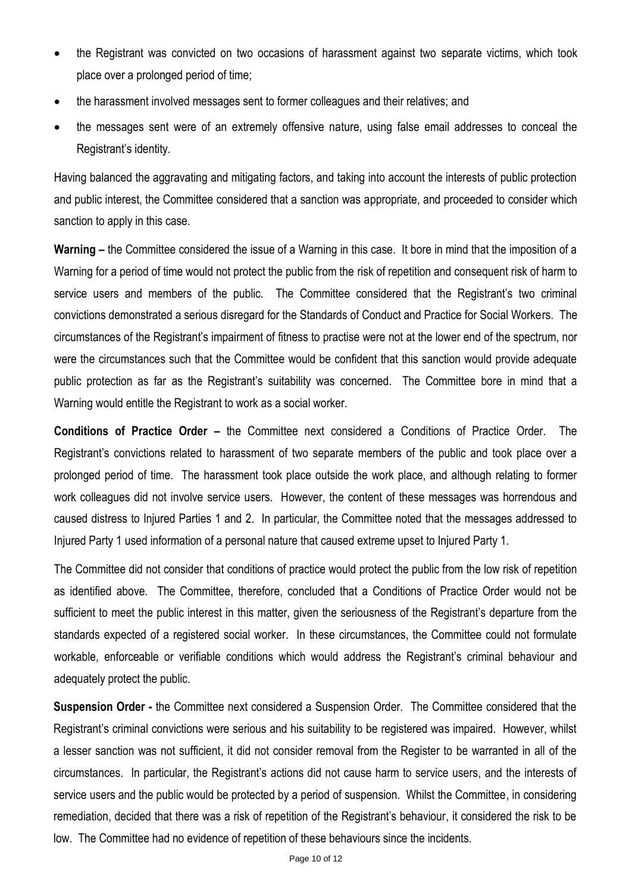- the Registrant was convicted on two occasions of harassment against two separate victims, which took place over a prolonged period of time;
- the harassment involved messages sent to former colleagues and their relatives; and
- the messages sent were of an extremely offensive nature, using false email addresses to conceal the Registrant's identity.

Having balanced the aggravating and mitigating factors, and taking into account the interests of public protection and public interest, the Committee considered that a sanction was appropriate, and proceeded to consider which sanction to apply in this case.

**Warning –** the Committee considered the issue of a Warning in this case. It bore in mind that the imposition of a Warning for a period of time would not protect the public from the risk of repetition and consequent risk of harm to service users and members of the public. The Committee considered that the Registrant's two criminal convictions demonstrated a serious disregard for the Standards of Conduct and Practice for Social Workers. The circumstances of the Registrant's impairment of fitness to practise were not at the lower end of the spectrum, nor were the circumstances such that the Committee would be confident that this sanction would provide adequate public protection as far as the Registrant's suitability was concerned. The Committee bore in mind that a Warning would entitle the Registrant to work as a social worker.

**Conditions of Practice Order –** the Committee next considered a Conditions of Practice Order. The Registrant's convictions related to harassment of two separate members of the public and took place over a prolonged period of time. The harassment took place outside the work place, and although relating to former work colleagues did not involve service users. However, the content of these messages was horrendous and caused distress to Injured Parties 1 and 2. In particular, the Committee noted that the messages addressed to Injured Party 1 used information of a personal nature that caused extreme upset to Injured Party 1.

The Committee did not consider that conditions of practice would protect the public from the low risk of repetition as identified above. The Committee, therefore, concluded that a Conditions of Practice Order would not be sufficient to meet the public interest in this matter, given the seriousness of the Registrant's departure from the standards expected of a registered social worker. In these circumstances, the Committee could not formulate workable, enforceable or verifiable conditions which would address the Registrant's criminal behaviour and adequately protect the public.

**Suspension Order -** the Committee next considered a Suspension Order. The Committee considered that the Registrant's criminal convictions were serious and his suitability to be registered was impaired. However, whilst a lesser sanction was not sufficient, it did not consider removal from the Register to be warranted in all of the circumstances. In particular, the Registrant's actions did not cause harm to service users, and the interests of service users and the public would be protected by a period of suspension. Whilst the Committee, in considering remediation, decided that there was a risk of repetition of the Registrant's behaviour, it considered the risk to be low. The Committee had no evidence of repetition of these behaviours since the incidents.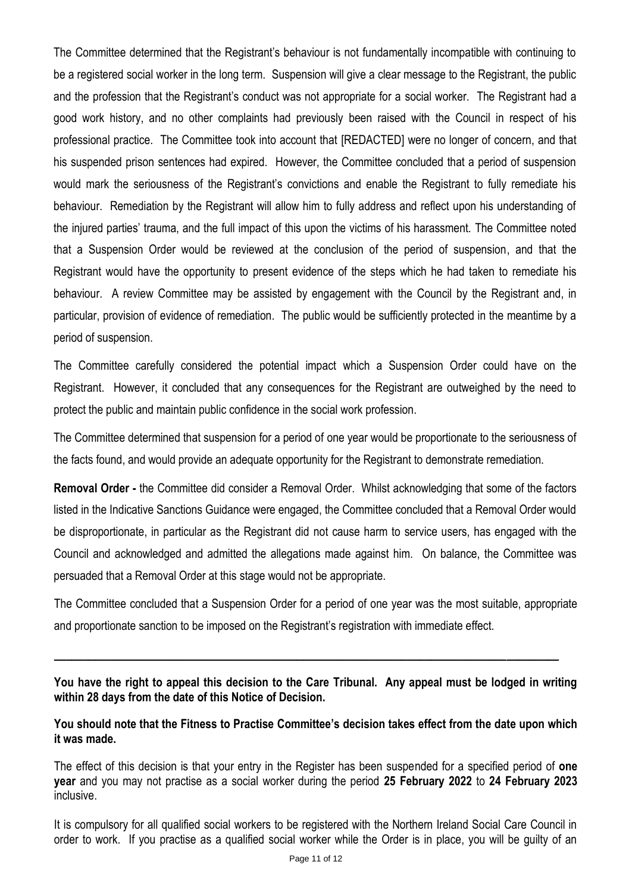The Committee determined that the Registrant's behaviour is not fundamentally incompatible with continuing to be a registered social worker in the long term. Suspension will give a clear message to the Registrant, the public and the profession that the Registrant's conduct was not appropriate for a social worker. The Registrant had a good work history, and no other complaints had previously been raised with the Council in respect of his professional practice. The Committee took into account that [REDACTED] were no longer of concern, and that his suspended prison sentences had expired. However, the Committee concluded that a period of suspension would mark the seriousness of the Registrant's convictions and enable the Registrant to fully remediate his behaviour. Remediation by the Registrant will allow him to fully address and reflect upon his understanding of the injured parties' trauma, and the full impact of this upon the victims of his harassment. The Committee noted that a Suspension Order would be reviewed at the conclusion of the period of suspension, and that the Registrant would have the opportunity to present evidence of the steps which he had taken to remediate his behaviour. A review Committee may be assisted by engagement with the Council by the Registrant and, in particular, provision of evidence of remediation. The public would be sufficiently protected in the meantime by a period of suspension.

The Committee carefully considered the potential impact which a Suspension Order could have on the Registrant. However, it concluded that any consequences for the Registrant are outweighed by the need to protect the public and maintain public confidence in the social work profession.

The Committee determined that suspension for a period of one year would be proportionate to the seriousness of the facts found, and would provide an adequate opportunity for the Registrant to demonstrate remediation.

**Removal Order -** the Committee did consider a Removal Order. Whilst acknowledging that some of the factors listed in the Indicative Sanctions Guidance were engaged, the Committee concluded that a Removal Order would be disproportionate, in particular as the Registrant did not cause harm to service users, has engaged with the Council and acknowledged and admitted the allegations made against him. On balance, the Committee was persuaded that a Removal Order at this stage would not be appropriate.

The Committee concluded that a Suspension Order for a period of one year was the most suitable, appropriate and proportionate sanction to be imposed on the Registrant's registration with immediate effect.

**You have the right to appeal this decision to the Care Tribunal. Any appeal must be lodged in writing within 28 days from the date of this Notice of Decision.**

 $\_$  , and the set of the set of the set of the set of the set of the set of the set of the set of the set of the set of the set of the set of the set of the set of the set of the set of the set of the set of the set of th

**You should note that the Fitness to Practise Committee's decision takes effect from the date upon which it was made.**

The effect of this decision is that your entry in the Register has been suspended for a specified period of **one year** and you may not practise as a social worker during the period **25 February 2022** to **24 February 2023** inclusive.

It is compulsory for all qualified social workers to be registered with the Northern Ireland Social Care Council in order to work. If you practise as a qualified social worker while the Order is in place, you will be guilty of an